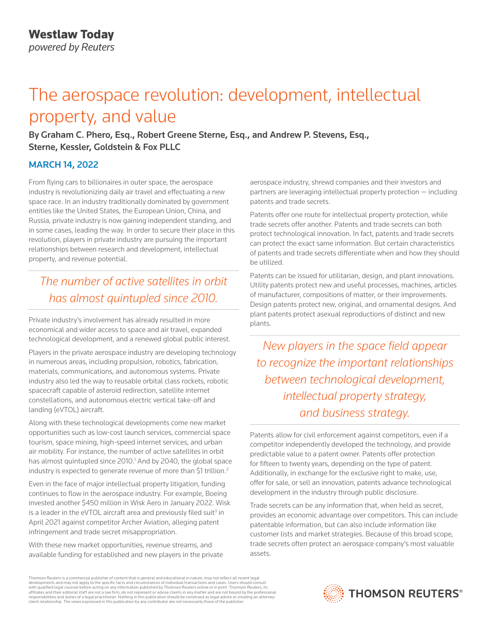# The aerospace revolution: development, intellectual property, and value

By Graham C. Phero, Esq., Robert Greene Sterne, Esq., and Andrew P. Stevens, Esq., Sterne, Kessler, Goldstein & Fox PLLC

### MARCH 14, 2022

From flying cars to billionaires in outer space, the aerospace industry is revolutionizing daily air travel and effectuating a new space race. In an industry traditionally dominated by government entities like the United States, the European Union, China, and Russia, private industry is now gaining independent standing, and in some cases, leading the way. In order to secure their place in this revolution, players in private industry are pursuing the important relationships between research and development, intellectual property, and revenue potential.

## *The number of active satellites in orbit has almost quintupled since 2010.*

Private industry's involvement has already resulted in more economical and wider access to space and air travel, expanded technological development, and a renewed global public interest.

Players in the private aerospace industry are developing technology in numerous areas, including propulsion, robotics, fabrication, materials, communications, and autonomous systems. Private industry also led the way to reusable orbital class rockets, robotic spacecraft capable of asteroid redirection, satellite internet constellations, and autonomous electric vertical take-off and landing (eVTOL) aircraft.

Along with these technological developments come new market opportunities such as low-cost launch services, commercial space tourism, space mining, high-speed internet services, and urban air mobility. For instance, the number of active satellites in orbit has almost quintupled since 2010.<sup>1</sup> And by 2040, the global space industry is expected to generate revenue of more than \$1 trillion.<sup>2</sup>

Even in the face of major intellectual property litigation, funding continues to flow in the aerospace industry. For example, Boeing invested another \$450 million in Wisk Aero in January 2022. Wisk is a leader in the eVTOL aircraft area and previously filed suit<sup>3</sup> in April 2021 against competitor Archer Aviation, alleging patent infringement and trade secret misappropriation.

With these new market opportunities, revenue streams, and available funding for established and new players in the private aerospace industry, shrewd companies and their investors and partners are leveraging intellectual property protection — including patents and trade secrets.

Patents offer one route for intellectual property protection, while trade secrets offer another. Patents and trade secrets can both protect technological innovation. In fact, patents and trade secrets can protect the exact same information. But certain characteristics of patents and trade secrets differentiate when and how they should be utilized.

Patents can be issued for utilitarian, design, and plant innovations. Utility patents protect new and useful processes, machines, articles of manufacturer, compositions of matter, or their improvements. Design patents protect new, original, and ornamental designs. And plant patents protect asexual reproductions of distinct and new plants.

*New players in the space field appear to recognize the important relationships between technological development, intellectual property strategy, and business strategy.*

Patents allow for civil enforcement against competitors, even if a competitor independently developed the technology, and provide predictable value to a patent owner. Patents offer protection for fifteen to twenty years, depending on the type of patent. Additionally, in exchange for the exclusive right to make, use, offer for sale, or sell an innovation, patents advance technological development in the industry through public disclosure.

Trade secrets can be any information that, when held as secret, provides an economic advantage over competitors. This can include patentable information, but can also include information like customer lists and market strategies. Because of this broad scope, trade secrets often protect an aerospace company's most valuable assets.

Thomson Reuters is a commercial publisher of content that is general and educational in nature, may not reflect all recent legal developments and may not apply to the specific facts and circumstances of individual transactions and cases. Users should consult<br>with qualified legal counsel before acting on any information published by Thomson Reuters o responsibilities and duties of a legal practitioner. Nothing in this publication should be construed as legal advice or creating an attorneyclient relationship. The views expressed in this publication by any contributor are not necessarily those of the publisher.

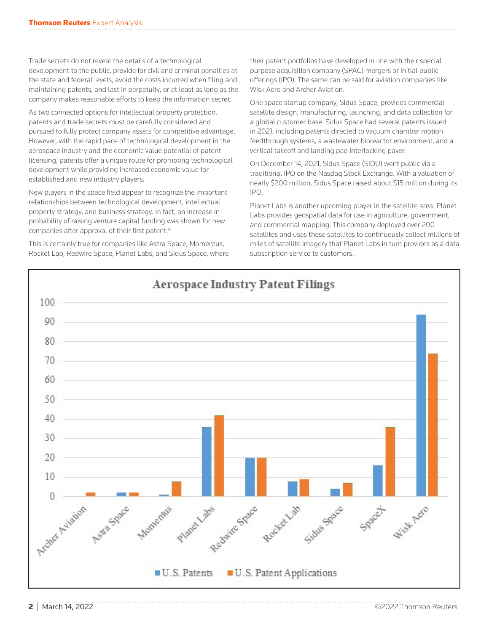Trade secrets do not reveal the details of a technological development to the public, provide for civil and criminal penalties at the state and federal levels, avoid the costs incurred when filing and maintaining patents, and last in perpetuity, or at least as long as the company makes reasonable efforts to keep the information secret.

As two connected options for intellectual property protection, patents and trade secrets must be carefully considered and pursued to fully protect company assets for competitive advantage. However, with the rapid pace of technological development in the aerospace industry and the economic value potential of patent licensing, patents offer a unique route for promoting technological development while providing increased economic value for established and new industry players.

New players in the space field appear to recognize the important relationships between technological development, intellectual property strategy, and business strategy. In fact, an increase in probability of raising venture capital funding was shown for new companies after approval of their first patent.4

This is certainly true for companies like Astra Space, Momentus, Rocket Lab, Redwire Space, Planet Labs, and Sidus Space, where their patent portfolios have developed in line with their special purpose acquisition company (SPAC) mergers or initial public offerings (IPO). The same can be said for aviation companies like Wisk Aero and Archer Aviation.

One space startup company, Sidus Space, provides commercial satellite design, manufacturing, launching, and data collection for a global customer base. Sidus Space had several patents issued in 2021, including patents directed to vacuum chamber motion feedthrough systems, a wastewater bioreactor environment, and a vertical takeoff and landing pad interlocking paver.

On December 14, 2021, Sidus Space (SIDU) went public via a traditional IPO on the Nasdaq Stock Exchange. With a valuation of nearly \$200 million, Sidus Space raised about \$15 million during its IPO.

Planet Labs is another upcoming player in the satellite area. Planet Labs provides geospatial data for use in agriculture, government, and commercial mapping. This company deployed over 200 satellites and uses these satellites to continuously collect millions of miles of satellite imagery that Planet Labs in turn provides as a data subscription service to customers.

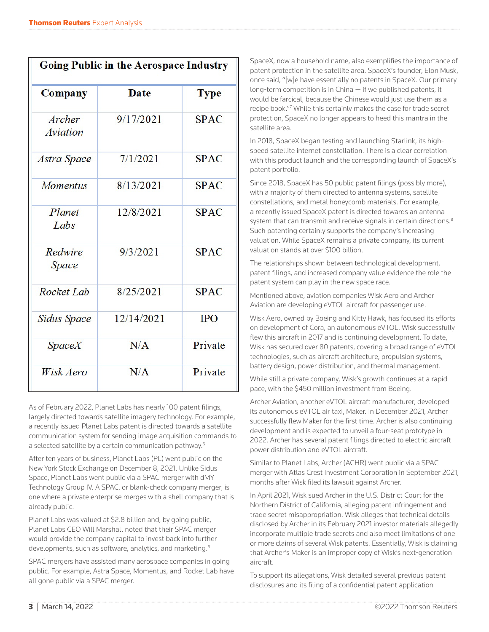| <b>Going Public in the Aerospace Industry</b> |             |             |
|-----------------------------------------------|-------------|-------------|
| Company                                       | <b>Date</b> | <b>Type</b> |
| Archer<br>Aviation                            | 9/17/2021   | <b>SPAC</b> |
| Astra Space                                   | 7/1/2021    | <b>SPAC</b> |
| <b>Momentus</b>                               | 8/13/2021   | <b>SPAC</b> |
| Planet<br>Labs                                | 12/8/2021   | <b>SPAC</b> |
| Redwire<br>Space                              | 9/3/2021    | <b>SPAC</b> |
| Rocket Lab                                    | 8/25/2021   | <b>SPAC</b> |
| <b>Sidus Space</b>                            | 12/14/2021  | <b>IPO</b>  |
| SpaceX                                        | N/A         | Private     |
| Wisk Aero                                     | N/A         | Private     |

As of February 2022, Planet Labs has nearly 100 patent filings, largely directed towards satellite imagery technology. For example, a recently issued Planet Labs patent is directed towards a satellite communication system for sending image acquisition commands to a selected satellite by a certain communication pathway.5

After ten years of business, Planet Labs (PL) went public on the New York Stock Exchange on December 8, 2021. Unlike Sidus Space, Planet Labs went public via a SPAC merger with dMY Technology Group IV. A SPAC, or blank-check company merger, is one where a private enterprise merges with a shell company that is already public.

Planet Labs was valued at \$2.8 billion and, by going public, Planet Labs CEO Will Marshall noted that their SPAC merger would provide the company capital to invest back into further developments, such as software, analytics, and marketing.6

SPAC mergers have assisted many aerospace companies in going public. For example, Astra Space, Momentus, and Rocket Lab have all gone public via a SPAC merger.

SpaceX, now a household name, also exemplifies the importance of patent protection in the satellite area. SpaceX's founder, Elon Musk, once said, "[w]e have essentially no patents in SpaceX. Our primary long-term competition is in China — if we published patents, it would be farcical, because the Chinese would just use them as a recipe book."<sup>7</sup> While this certainly makes the case for trade secret protection, SpaceX no longer appears to heed this mantra in the satellite area.

In 2018, SpaceX began testing and launching Starlink, its highspeed satellite internet constellation. There is a clear correlation with this product launch and the corresponding launch of SpaceX's patent portfolio.

Since 2018, SpaceX has 50 public patent filings (possibly more), with a majority of them directed to antenna systems, satellite constellations, and metal honeycomb materials. For example, a recently issued SpaceX patent is directed towards an antenna system that can transmit and receive signals in certain directions.<sup>8</sup> Such patenting certainly supports the company's increasing valuation. While SpaceX remains a private company, its current valuation stands at over \$100 billion.

The relationships shown between technological development, patent filings, and increased company value evidence the role the patent system can play in the new space race.

Mentioned above, aviation companies Wisk Aero and Archer Aviation are developing eVTOL aircraft for passenger use.

Wisk Aero, owned by Boeing and Kitty Hawk, has focused its efforts on development of Cora, an autonomous eVTOL. Wisk successfully flew this aircraft in 2017 and is continuing development. To date, Wisk has secured over 80 patents, covering a broad range of eVTOL technologies, such as aircraft architecture, propulsion systems, battery design, power distribution, and thermal management.

While still a private company, Wisk's growth continues at a rapid pace, with the \$450 million investment from Boeing.

Archer Aviation, another eVTOL aircraft manufacturer, developed its autonomous eVTOL air taxi, Maker. In December 2021, Archer successfully flew Maker for the first time. Archer is also continuing development and is expected to unveil a four-seat prototype in 2022. Archer has several patent filings directed to electric aircraft power distribution and eVTOL aircraft.

Similar to Planet Labs, Archer (ACHR) went public via a SPAC merger with Atlas Crest Investment Corporation in September 2021, months after Wisk filed its lawsuit against Archer.

In April 2021, Wisk sued Archer in the U.S. District Court for the Northern District of California, alleging patent infringement and trade secret misappropriation. Wisk alleges that technical details disclosed by Archer in its February 2021 investor materials allegedly incorporate multiple trade secrets and also meet limitations of one or more claims of several Wisk patents. Essentially, Wisk is claiming that Archer's Maker is an improper copy of Wisk's next-generation aircraft.

To support its allegations, Wisk detailed several previous patent disclosures and its filing of a confidential patent application